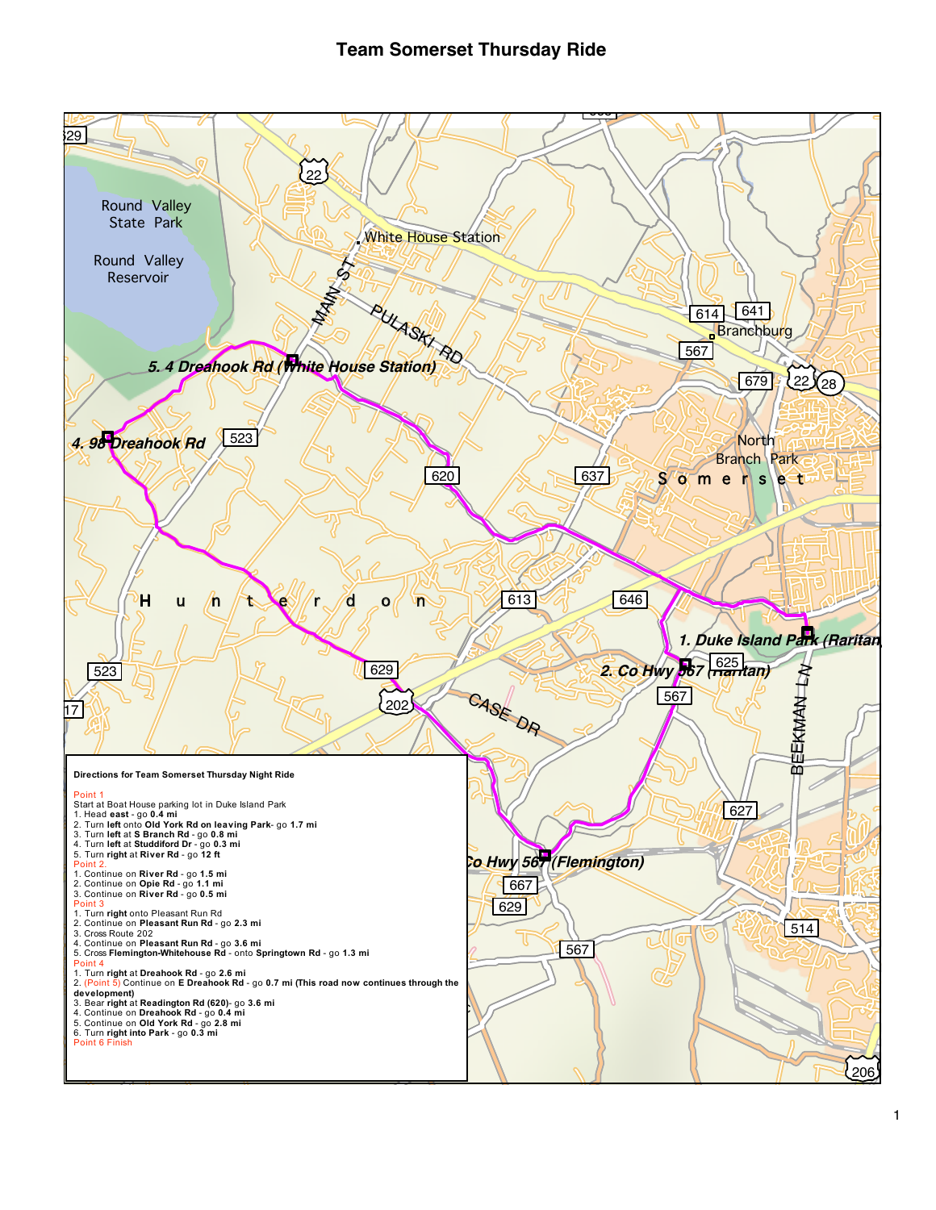## **Team Somerset Thursday Ride**